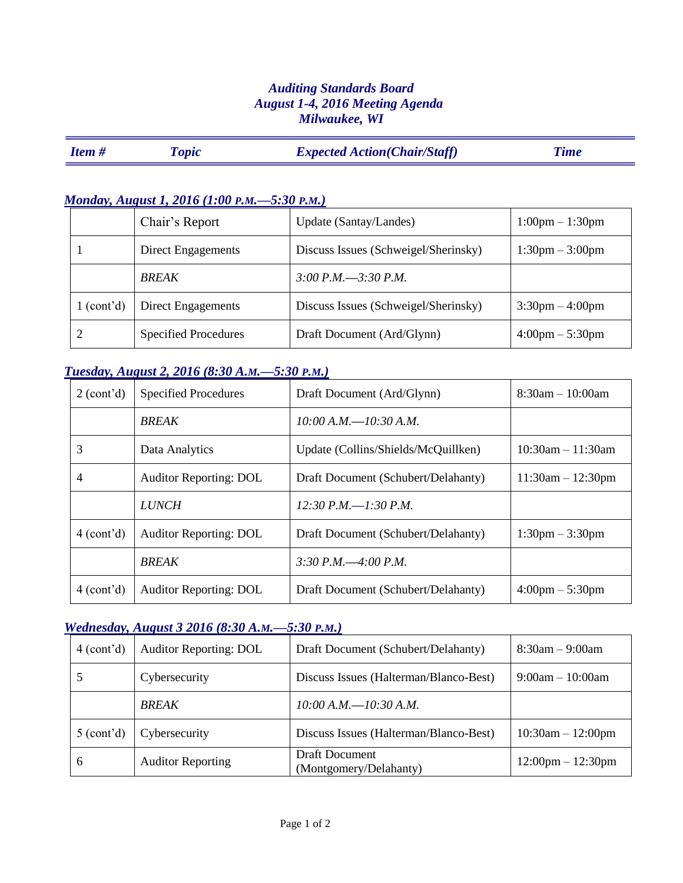### *Auditing Standards Board August 1-4, 2016 Meeting Agenda Milwaukee, WI*

|  | <b>Item#</b> | <i><b>Topic</b></i> | <b>Expected Action (Chair/Staff)</b> | <b>Time</b> |
|--|--------------|---------------------|--------------------------------------|-------------|
|--|--------------|---------------------|--------------------------------------|-------------|

### *Monday, August 1, 2016 (1:00 P.M.—5:30 P.M.)*

|            | Chair's Report              | Update (Santay/Landes)               | $1:00 \text{pm} - 1:30 \text{pm}$ |
|------------|-----------------------------|--------------------------------------|-----------------------------------|
|            | Direct Engagements          | Discuss Issues (Schweigel/Sherinsky) | $1:30 \text{pm} - 3:00 \text{pm}$ |
|            | <b>BREAK</b>                | $3:00 P.M. - 3:30 P.M.$              |                                   |
| 1 (cont'd) | Direct Engagements          | Discuss Issues (Schweigel/Sherinsky) | $3:30$ pm $-4:00$ pm              |
|            | <b>Specified Procedures</b> | Draft Document (Ard/Glynn)           | $4:00 \text{pm} - 5:30 \text{pm}$ |

### *Tuesday, August 2, 2016 (8:30 A.M.—5:30 P.M.)*

| 2 (cont'd) | <b>Specified Procedures</b>   | Draft Document (Ard/Glynn)          | $8:30am - 10:00am$                |
|------------|-------------------------------|-------------------------------------|-----------------------------------|
|            | <b>BREAK</b>                  | $10:00$ A.M. $-10:30$ A.M.          |                                   |
| 3          | Data Analytics                | Update (Collins/Shields/McQuillken) | $10:30am - 11:30am$               |
| 4          | <b>Auditor Reporting: DOL</b> | Draft Document (Schubert/Delahanty) | $11:30am - 12:30pm$               |
|            | <b>LUNCH</b>                  | 12:30 P.M. $-1$ :30 P.M.            |                                   |
| 4 (cont'd) | <b>Auditor Reporting: DOL</b> | Draft Document (Schubert/Delahanty) | $1:30 \text{pm} - 3:30 \text{pm}$ |
|            | <b>BREAK</b>                  | 3:30 P.M. $-4:00$ P.M.              |                                   |
| 4 (cont'd) | <b>Auditor Reporting: DOL</b> | Draft Document (Schubert/Delahanty) | $4:00 \text{pm} - 5:30 \text{pm}$ |

# *Wednesday, August 3 2016 (8:30 A.M.—5:30 P.M.)*

| 4 (cont'd) | <b>Auditor Reporting: DOL</b> | Draft Document (Schubert/Delahanty)      | $8:30am - 9:00am$                   |
|------------|-------------------------------|------------------------------------------|-------------------------------------|
|            | Cybersecurity                 | Discuss Issues (Halterman/Blanco-Best)   | $9:00am - 10:00am$                  |
|            | <b>BREAK</b>                  | $10:00 A.M. - 10:30 A.M.$                |                                     |
| 5 (cont'd) | Cybersecurity                 | Discuss Issues (Halterman/Blanco-Best)   | $10:30am - 12:00pm$                 |
| 6          | <b>Auditor Reporting</b>      | Draft Document<br>(Montgomery/Delahanty) | $12:00 \text{pm} - 12:30 \text{pm}$ |